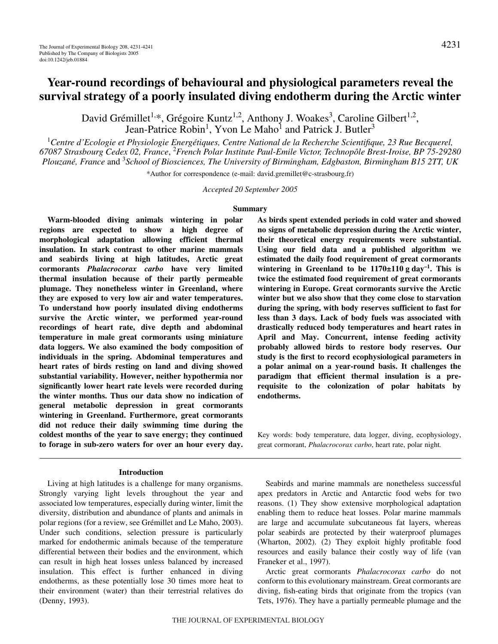David Grémillet<sup>1,\*</sup>, Grégoire Kuntz<sup>1,2</sup>, Anthony J. Woakes<sup>3</sup>, Caroline Gilbert<sup>1,2</sup>, Jean-Patrice Robin<sup>1</sup>, Yvon Le Maho<sup>1</sup> and Patrick J. Butler<sup>3</sup>

1 *Centre d'Ecologie et Physiologie Energétiques, Centre National de la Recherche Scientifique, 23 Rue Becquerel, 67087 Strasbourg Cedex 02, France*, 2 *French Polar Institute Paul-Emile Victor, Technopôle Brest-Iroise, BP 75-29280* Plouzané, France and <sup>3</sup>School of Biosciences, The University of Birmingham, Edgbaston, Birmingham B15 2TT, UK

\*Author for correspondence (e-mail: david.gremillet@c-strasbourg.fr)

*Accepted 20 September 2005*

### **Summary**

**Warm-blooded diving animals wintering in polar regions are expected to show a high degree of morphological adaptation allowing efficient thermal insulation. In stark contrast to other marine mammals and seabirds living at high latitudes, Arctic great cormorants** *Phalacrocorax carbo* **have very limited thermal insulation because of their partly permeable plumage. They nonetheless winter in Greenland, where they are exposed to very low air and water temperatures. To understand how poorly insulated diving endotherms survive the Arctic winter, we performed year-round recordings of heart rate, dive depth and abdominal temperature in male great cormorants using miniature data loggers. We also examined the body composition of individuals in the spring. Abdominal temperatures and heart rates of birds resting on land and diving showed substantial variability. However, neither hypothermia nor significantly lower heart rate levels were recorded during the winter months. Thus our data show no indication of general metabolic depression in great cormorants wintering in Greenland. Furthermore, great cormorants did not reduce their daily swimming time during the coldest months of the year to save energy; they continued to forage in sub-zero waters for over an hour every day.**

## **Introduction**

Living at high latitudes is a challenge for many organisms. Strongly varying light levels throughout the year and associated low temperatures, especially during winter, limit the diversity, distribution and abundance of plants and animals in polar regions (for a review, see Grémillet and Le Maho, 2003). Under such conditions, selection pressure is particularly marked for endothermic animals because of the temperature differential between their bodies and the environment, which can result in high heat losses unless balanced by increased insulation. This effect is further enhanced in diving endotherms, as these potentially lose 30 times more heat to their environment (water) than their terrestrial relatives do (Denny, 1993).

**As birds spent extended periods in cold water and showed no signs of metabolic depression during the Arctic winter, their theoretical energy requirements were substantial. Using our field data and a published algorithm we estimated the daily food requirement of great cormorants** wintering in Greenland to be  $1170\pm110$  g day<sup>-1</sup>. This is **twice the estimated food requirement of great cormorants wintering in Europe. Great cormorants survive the Arctic winter but we also show that they come close to starvation during the spring, with body reserves sufficient to fast for less than 3 days. Lack of body fuels was associated with drastically reduced body temperatures and heart rates in April and May. Concurrent, intense feeding activity probably allowed birds to restore body reserves. Our study is the first to record ecophysiological parameters in a polar animal on a year-round basis. It challenges the paradigm that efficient thermal insulation is a prerequisite to the colonization of polar habitats by endotherms.**

Key words: body temperature, data logger, diving, ecophysiology, great cormorant, *Phalacrocorax carbo*, heart rate, polar night*.*

Seabirds and marine mammals are nonetheless successful apex predators in Arctic and Antarctic food webs for two reasons. (1) They show extensive morphological adaptation enabling them to reduce heat losses. Polar marine mammals are large and accumulate subcutaneous fat layers, whereas polar seabirds are protected by their waterproof plumages (Wharton, 2002). (2) They exploit highly profitable food resources and easily balance their costly way of life (van Franeker et al., 1997).

Arctic great cormorants *Phalacrocorax carbo* do not conform to this evolutionary mainstream. Great cormorants are diving, fish-eating birds that originate from the tropics (van Tets, 1976). They have a partially permeable plumage and the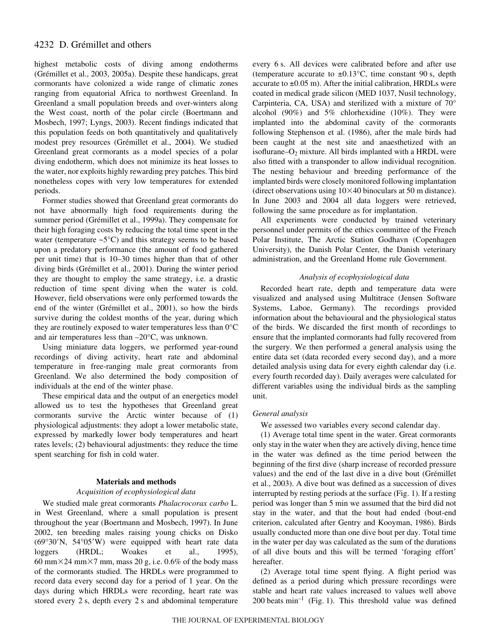highest metabolic costs of diving among endotherms (Grémillet et al., 2003, 2005a). Despite these handicaps, great cormorants have colonized a wide range of climatic zones ranging from equatorial Africa to northwest Greenland. In Greenland a small population breeds and over-winters along the West coast, north of the polar circle (Boertmann and Mosbech, 1997; Lyngs, 2003). Recent findings indicated that this population feeds on both quantitatively and qualitatively modest prey resources (Grémillet et al., 2004). We studied Greenland great cormorants as a model species of a polar diving endotherm, which does not minimize its heat losses to the water, nor exploits highly rewarding prey patches. This bird nonetheless copes with very low temperatures for extended periods.

Former studies showed that Greenland great cormorants do not have abnormally high food requirements during the summer period (Grémillet et al., 1999a). They compensate for their high foraging costs by reducing the total time spent in the water (temperature  $\sim$ 5 $\degree$ C) and this strategy seems to be based upon a predatory performance (the amount of food gathered per unit time) that is 10–30 times higher than that of other diving birds (Grémillet et al., 2001). During the winter period they are thought to employ the same strategy, i.e. a drastic reduction of time spent diving when the water is cold. However, field observations were only performed towards the end of the winter (Grémillet et al., 2001), so how the birds survive during the coldest months of the year, during which they are routinely exposed to water temperatures less than 0°C and air temperatures less than –20°C, was unknown.

Using miniature data loggers, we performed year-round recordings of diving activity, heart rate and abdominal temperature in free-ranging male great cormorants from Greenland. We also determined the body composition of individuals at the end of the winter phase.

These empirical data and the output of an energetics model allowed us to test the hypotheses that Greenland great cormorants survive the Arctic winter because of (1) physiological adjustments: they adopt a lower metabolic state, expressed by markedly lower body temperatures and heart rates levels; (2) behavioural adjustments: they reduce the time spent searching for fish in cold water.

### **Materials and methods**

### *Acquisition of ecophysiological data*

We studied male great cormorants *Phalacrocorax carbo* L. in West Greenland, where a small population is present throughout the year (Boertmann and Mosbech, 1997). In June 2002, ten breeding males raising young chicks on Disko (69°30'N, 54°05'W) were equipped with heart rate data loggers (HRDL; Woakes et al., 1995), 60 mm $\times$ 24 mm $\times$ 7 mm, mass 20 g, i.e. 0.6% of the body mass of the cormorants studied. The HRDLs were programmed to record data every second day for a period of 1 year. On the days during which HRDLs were recording, heart rate was stored every  $2s$ , depth every  $2s$  and abdominal temperature every 6 s. All devices were calibrated before and after use (temperature accurate to  $\pm 0.13$ °C, time constant 90 s, depth accurate to  $\pm 0.05$  m). After the initial calibration, HRDLs were coated in medical grade silicon (MED 1037, Nusil technology, Carpinteria, CA, USA) and sterilized with a mixture of 70° alcohol (90%) and 5% chlorhexidine (10%). They were implanted into the abdominal cavity of the cormorants following Stephenson et al. (1986), after the male birds had been caught at the nest site and anaesthetized with an isoflurane– $O_2$  mixture. All birds implanted with a HRDL were also fitted with a transponder to allow individual recognition. The nesting behaviour and breeding performance of the implanted birds were closely monitored following implantation (direct observations using  $10\times40$  binoculars at 50 m distance). In June 2003 and 2004 all data loggers were retrieved, following the same procedure as for implantation.

All experiments were conducted by trained veterinary personnel under permits of the ethics committee of the French Polar Institute, The Arctic Station Godhavn (Copenhagen University), the Danish Polar Center, the Danish veterinary administration, and the Greenland Home rule Government.

## *Analysis of ecophysiological data*

Recorded heart rate, depth and temperature data were visualized and analysed using Multitrace (Jensen Software Systems, Laboe, Germany). The recordings provided information about the behavioural and the physiological status of the birds. We discarded the first month of recordings to ensure that the implanted cormorants had fully recovered from the surgery. We then performed a general analysis using the entire data set (data recorded every second day), and a more detailed analysis using data for every eighth calendar day (i.e. every fourth recorded day). Daily averages were calculated for different variables using the individual birds as the sampling unit.

#### *General analysis*

We assessed two variables every second calendar day.

(1) Average total time spent in the water. Great cormorants only stay in the water when they are actively diving, hence time in the water was defined as the time period between the beginning of the first dive (sharp increase of recorded pressure values) and the end of the last dive in a dive bout (Grémillet et al., 2003). A dive bout was defined as a succession of dives interrupted by resting periods at the surface  $(Fig. 1)$ . If a resting period was longer than 5 min we assumed that the bird did not stay in the water, and that the bout had ended (bout-end criterion, calculated after Gentry and Kooyman, 1986). Birds usually conducted more than one dive bout per day. Total time in the water per day was calculated as the sum of the durations of all dive bouts and this will be termed 'foraging effort' hereafter.

(2) Average total time spent flying. A flight period was defined as a period during which pressure recordings were stable and heart rate values increased to values well above  $200$  beats  $min^{-1}$  (Fig. 1). This threshold value was defined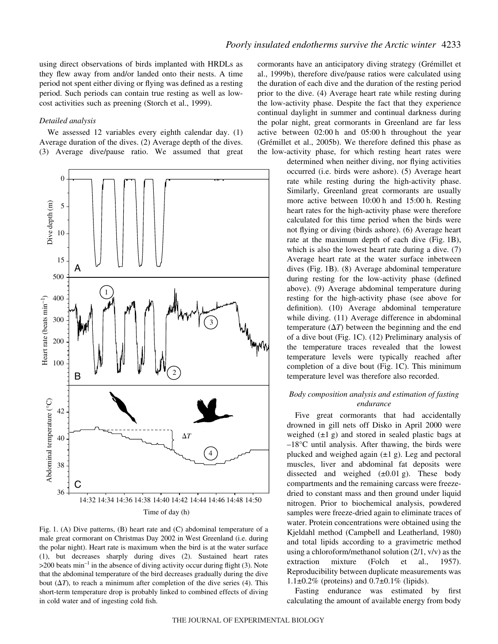using direct observations of birds implanted with HRDLs as they flew away from and/or landed onto their nests. A time period not spent either diving or flying was defined as a resting period. Such periods can contain true resting as well as lowcost activities such as preening (Storch et al., 1999).

#### *Detailed analysis*

We assessed 12 variables every eighth calendar day. (1) Average duration of the dives. (2) Average depth of the dives. (3) Average dive/pause ratio. We assumed that great



Fig. 1. (A) Dive patterns,  $(B)$  heart rate and  $(C)$  abdominal temperature of a male great cormorant on Christmas Day 2002 in West Greenland (i.e. during the polar night). Heart rate is maximum when the bird is at the water surface (1), but decreases sharply during dives (2). Sustained heart rates  $>200$  beats min<sup>-1</sup> in the absence of diving activity occur during flight (3). Note that the abdominal temperature of the bird decreases gradually during the dive bout  $(\Delta T)$ , to reach a minimum after completion of the dive series (4). This short-term temperature drop is probably linked to combined effects of diving in cold water and of ingesting cold fish.

cormorants have an anticipatory diving strategy (Grémillet et al., 1999b), therefore dive/pause ratios were calculated using the duration of each dive and the duration of the resting period prior to the dive. (4) Average heart rate while resting during the low-activity phase. Despite the fact that they experience continual daylight in summer and continual darkness during the polar night, great cormorants in Greenland are far less active between  $02:00 h$  and  $05:00 h$  throughout the year (Grémillet et al., 2005b). We therefore defined this phase as the low-activity phase, for which resting heart rates were

> determined when neither diving, nor flying activities occurred (i.e. birds were ashore). (5) Average heart rate while resting during the high-activity phase. Similarly, Greenland great cormorants are usually more active between  $10:00h$  and  $15:00h$ . Resting heart rates for the high-activity phase were therefore calculated for this time period when the birds were not flying or diving (birds ashore). (6) Average heart rate at the maximum depth of each dive (Fig. 1B), which is also the lowest heart rate during a dive. (7) Average heart rate at the water surface inbetween dives (Fig. 1B). (8) Average abdominal temperature during resting for the low-activity phase (defined above). (9) Average abdominal temperature during resting for the high-activity phase (see above for definition). (10) Average abdominal temperature while diving. (11) Average difference in abdominal temperature  $(\Delta T)$  between the beginning and the end of a dive bout (Fig. 1C).  $(12)$  Preliminary analysis of the temperature traces revealed that the lowest temperature levels were typically reached after completion of a dive bout (Fig. 1C). This minimum temperature level was therefore also recorded.

## *Body composition analysis and estimation of fasting endurance*

Five great cormorants that had accidentally drowned in gill nets off Disko in April 2000 were weighed  $(\pm 1$  g) and stored in sealed plastic bags at  $-18^{\circ}$ C until analysis. After thawing, the birds were plucked and weighed again  $(\pm 1 \text{ g})$ . Leg and pectoral muscles, liver and abdominal fat deposits were dissected and weighed  $(\pm 0.01 \text{ g})$ . These body compartments and the remaining carcass were freezedried to constant mass and then ground under liquid nitrogen. Prior to biochemical analysis, powdered samples were freeze-dried again to eliminate traces of water. Protein concentrations were obtained using the Kjeldahl method (Campbell and Leatherland, 1980) and total lipids according to a gravimetric method using a chloroform/methanol solution  $(2/1, v/v)$  as the extraction mixture (Folch et al., 1957). Reproducibility between duplicate measurements was 1.1±0.2% (proteins) and 0.7±0.1% (lipids).

Fasting endurance was estimated by first calculating the amount of available energy from body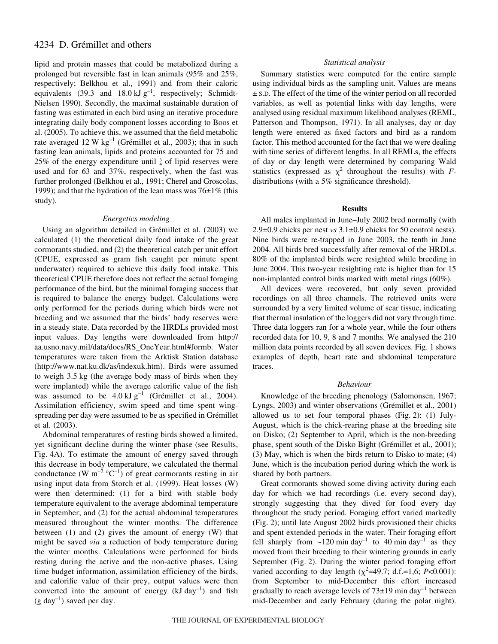lipid and protein masses that could be metabolized during a prolonged but reversible fast in lean animals (95% and 25%, respectively; Belkhou et al., 1991) and from their caloric equivalents (39.3 and 18.0 kJ  $g^{-1}$ , respectively; Schmidt-Nielsen 1990). Secondly, the maximal sustainable duration of fasting was estimated in each bird using an iterative procedure integrating daily body component losses according to Boos et al. (2005). To achieve this, we assumed that the field metabolic rate averaged 12 W  $kg^{-1}$  (Grémillet et al., 2003); that in such fasting lean animals, lipids and proteins accounted for 75 and 25% of the energy expenditure until  $\frac{3}{4}$  of lipid reserves were used and for 63 and 37%, respectively, when the fast was further prolonged (Belkhou et al., 1991; Cherel and Groscolas, 1999); and that the hydration of the lean mass was  $76\pm1\%$  (this study).

### *Energetics modeling*

Using an algorithm detailed in Grémillet et al. (2003) we calculated (1) the theoretical daily food intake of the great cormorants studied, and (2) the theoretical catch per unit effort (CPUE, expressed as gram fish caught per minute spent underwater) required to achieve this daily food intake. This theoretical CPUE therefore does not reflect the actual foraging performance of the bird, but the minimal foraging success that is required to balance the energy budget. Calculations were only performed for the periods during which birds were not breeding and we assumed that the birds' body reserves were in a steady state. Data recorded by the HRDLs provided most input values. Day lengths were downloaded from http:// aa.usno.navy.mil/data/docs/RS\_OneYear.html#formb. Water temperatures were taken from the Arktisk Station database (http://www.nat.ku.dk/as/indexuk.htm). Birds were assumed to weigh 3.5 kg (the average body mass of birds when they were implanted) while the average calorific value of the fish was assumed to be  $4.0 \text{ kJ g}^{-1}$  (Grémillet et al., 2004). Assimilation efficiency, swim speed and time spent wingspreading per day were assumed to be as specified in Grémillet et al. (2003).

Abdominal temperatures of resting birds showed a limited, yet significant decline during the winter phase (see Results, Fig. 4A). To estimate the amount of energy saved through this decrease in body temperature, we calculated the thermal conductance (W  $m^{-2}$  °C<sup>-1</sup>) of great cormorants resting in air using input data from Storch et al. (1999). Heat losses (W) were then determined: (1) for a bird with stable body temperature equivalent to the average abdominal temperature in September; and (2) for the actual abdominal temperatures measured throughout the winter months. The difference between (1) and (2) gives the amount of energy (W) that might be saved *via* a reduction of body temperature during the winter months. Calculations were performed for birds resting during the active and the non-active phases. Using time budget information, assimilation efficiency of the birds, and calorific value of their prey, output values were then converted into the amount of energy  $(kJ \, day^{-1})$  and fish (g day<sup>-1</sup>) saved per day.

### *Statistical analysis*

Summary statistics were computed for the entire sample using individual birds as the sampling unit. Values are means ± S.D. The effect of the time of the winter period on all recorded variables, as well as potential links with day lengths, were analysed using residual maximum likelihood analyses (REML, Patterson and Thompson, 1971). In all analyses, day or day length were entered as fixed factors and bird as a random factor. This method accounted for the fact that we were dealing with time series of different lengths. In all REMLs, the effects of day or day length were determined by comparing Wald statistics (expressed as  $\chi^2$  throughout the results) with *F*distributions (with a 5% significance threshold).

## **Results**

All males implanted in June–July 2002 bred normally (with 2.9±0.9 chicks per nest *vs* 3.1±0.9 chicks for 50 control nests). Nine birds were re-trapped in June 2003, the tenth in June 2004. All birds bred successfully after removal of the HRDLs. 80% of the implanted birds were resighted while breeding in June 2004. This two-year resighting rate is higher than for 15 non-implanted control birds marked with metal rings (60%).

All devices were recovered, but only seven provided recordings on all three channels. The retrieved units were surrounded by a very limited volume of scar tissue, indicating that thermal insulation of the loggers did not vary through time. Three data loggers ran for a whole year, while the four others recorded data for 10, 9, 8 and 7 months. We analysed the 210 million data points recorded by all seven devices. Fig. 1 shows examples of depth, heart rate and abdominal temperature traces.

#### *Behaviour*

Knowledge of the breeding phenology (Salomonsen, 1967; Lyngs, 2003) and winter observations (Grémillet et al., 2001) allowed us to set four temporal phases (Fig. 2): (1) July-August, which is the chick-rearing phase at the breeding site on Disko; (2) September to April, which is the non-breeding phase, spent south of the Disko Bight (Grémillet et al., 2001); (3) May, which is when the birds return to Disko to mate; (4) June, which is the incubation period during which the work is shared by both partners.

Great cormorants showed some diving activity during each day for which we had recordings (i.e. every second day), strongly suggesting that they dived for food every day throughout the study period. Foraging effort varied markedly (Fig. 2); until late August 2002 birds provisioned their chicks and spent extended periods in the water. Their foraging effort fell sharply from  $\sim 120 \text{ min day}^{-1}$  to 40 min day<sup>-1</sup> as they moved from their breeding to their wintering grounds in early September (Fig. 2). During the winter period foraging effort varied according to day length  $(\chi^2=49.7; d.f.=1.6; P<0.001)$ : from September to mid-December this effort increased gradually to reach average levels of  $73\pm19$  min day<sup>-1</sup> between mid-December and early February (during the polar night).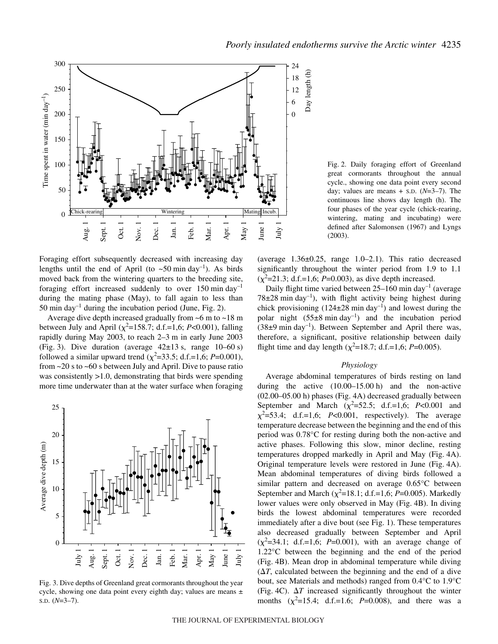

Foraging effort subsequently decreased with increasing day lengths until the end of April (to  $\sim 50 \text{ min day}^{-1}$ ). As birds moved back from the wintering quarters to the breeding site, foraging effort increased suddenly to over  $150 \text{ min day}^{-1}$ during the mating phase (May), to fall again to less than 50 min day<sup>-1</sup> during the incubation period (June, Fig. 2).

Average dive depth increased gradually from  $~6$  m to  $~18~\mathrm{m}$ between July and April ( $\chi^2$ =158.7; d.f.=1,6; *P*<0.001), falling rapidly during May 2003, to reach  $2-3$  m in early June 2003 (Fig. 3). Dive duration (average  $42\pm13$  s, range  $10-60$  s) followed a similar upward trend  $(\chi^2 = 33.5; d.f. = 1, 6; P = 0.001)$ , from  $\approx$  20 s to  $\sim$  60 s between July and April. Dive to pause ratio was consistently >1.0, demonstrating that birds were spending more time underwater than at the water surface when foraging



Fig. 3. Dive depths of Greenland great cormorants throughout the year cycle, showing one data point every eighth day; values are means  $\pm$ S.D. (*N*=3–7).

Fig. 2. Daily foraging effort of Greenland great cormorants throughout the annual cycle., showing one data point every second day; values are means + S.D. (*N*=3–7). The continuous line shows day length (h). The four phases of the year cycle (chick-rearing, wintering, mating and incubating) were defined after Salomonsen (1967) and Lyngs (2003).

(average  $1.36\pm0.25$ , range  $1.0-2.1$ ). This ratio decreased significantly throughout the winter period from 1.9 to 1.1  $(\chi^2 = 21.3; d.f.=1, 6; P=0.003)$ , as dive depth increased.

Daily flight time varied between  $25-160$  min day<sup>-1</sup> (average  $78\pm28$  min day<sup>-1</sup>), with flight activity being highest during chick provisioning  $(124\pm28 \text{ min day}^{-1})$  and lowest during the polar night  $(55\pm8 \text{ min day}^{-1})$  and the incubation period  $(38\pm9 \text{ min day}^{-1})$ . Between September and April there was, therefore, a significant, positive relationship between daily flight time and day length  $(\chi^2 = 18.7; d.f. = 1.6; P = 0.005)$ .

## *Physiology*

Average abdominal temperatures of birds resting on land during the active  $(10.00-15.00 h)$  and the non-active  $(02.00-05.00h)$  phases (Fig. 4A) decreased gradually between September and March  $(\chi^2 = 52.5; d.f.=1,6; P < 0.001$  and  $\chi^2$ =53.4; d.f.=1,6; *P*<0.001, respectively). The average temperature decrease between the beginning and the end of this period was 0.78°C for resting during both the non-active and active phases. Following this slow, minor decline, resting temperatures dropped markedly in April and May (Fig. 4A). Original temperature levels were restored in June (Fig. 4A). Mean abdominal temperatures of diving birds followed a similar pattern and decreased on average 0.65°C between September and March  $(\chi^2 = 18.1; d.f. = 1, 6; P = 0.005)$ . Markedly lower values were only observed in May (Fig. 4B). In diving birds the lowest abdominal temperatures were recorded immediately after a dive bout (see Fig. 1). These temperatures also decreased gradually between September and April  $(\chi^2 = 34.1; d.f.=1,6; P=0.001)$ , with an average change of 1.22°C between the beginning and the end of the period (Fig. 4B). Mean drop in abdominal temperature while diving  $(\Delta T,$  calculated between the beginning and the end of a dive bout, see Materials and methods) ranged from 0.4°C to 1.9°C (Fig. 4C).  $\Delta T$  increased significantly throughout the winter months  $(\chi^2=15.4; d.f.=1.6; P=0.008)$ , and there was a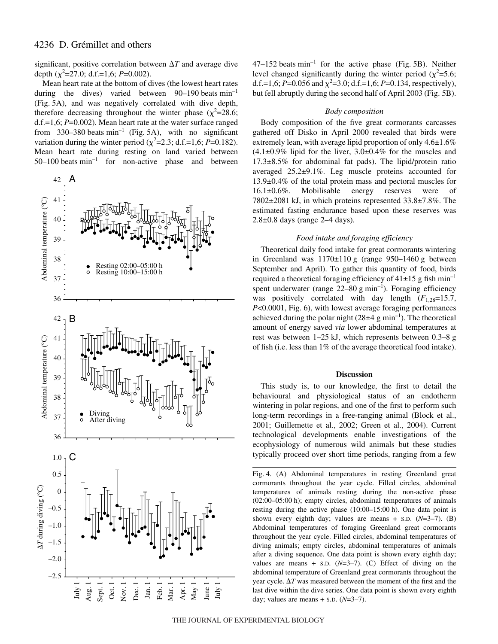significant, positive correlation between  $\Delta T$  and average dive depth  $(\chi^2 = 27.0; d.f.=1, 6; P=0.002)$ .

Mean heart rate at the bottom of dives (the lowest heart rates during the dives) varied between  $90-190$  beats  $min^{-1}$ (Fig. 5A), and was negatively correlated with dive depth, therefore decreasing throughout the winter phase  $(\chi^2=28.6)$ ; d.f.=1,6; *P*=0.002). Mean heart rate at the water surface ranged from  $330-380$  beats  $min^{-1}$  (Fig. 5A), with no significant variation during the winter period ( $\chi^2$ =2.3; d.f.=1,6; *P*=0.182). Mean heart rate during resting on land varied between  $50-100$  beats  $min^{-1}$  for non-active phase and between



 $47-152$  beats min<sup>-1</sup> for the active phase (Fig. 5B). Neither level changed significantly during the winter period ( $\chi^2$ =5.6; d.f.=1,6; *P*=0.056 and  $\chi^2$ =3.0; d.f.=1,6; *P*=0.134, respectively), but fell abruptly during the second half of April 2003 (Fig. 5B).

## *Body composition*

Body composition of the five great cormorants carcasses gathered off Disko in April 2000 revealed that birds were extremely lean, with average lipid proportion of only 4.6±1.6%  $(4.1\pm0.9\%$  lipid for the liver,  $3.0\pm0.4\%$  for the muscles and 17.3±8.5% for abdominal fat pads). The lipid/protein ratio averaged 25.2±9.1%. Leg muscle proteins accounted for 13.9±0.4% of the total protein mass and pectoral muscles for 16.1±0.6%. Mobilisable energy reserves were of  $7802\pm2081$  kJ, in which proteins represented  $33.8\pm7.8\%$ . The estimated fasting endurance based upon these reserves was 2.8±0.8 days (range 2–4 days).

## *Food intake and foraging efficiency*

Theoretical daily food intake for great cormorants wintering in Greenland was  $1170\pm110$  g (range 950–1460 g between September and April). To gather this quantity of food, birds required a theoretical foraging efficiency of  $41\pm15$  g fish min<sup>-1</sup> spent underwater (range  $22-80$  g min<sup>-1</sup>). Foraging efficiency was positively correlated with day length  $(F_{1,28}=15.7)$ , *P*<0.0001, Fig. 6), with lowest average foraging performances achieved during the polar night  $(28±4~g min^{-1})$ . The theoretical amount of energy saved *via* lower abdominal temperatures at rest was between  $1-25$  kJ, which represents between 0.3–8 g of fish (i.e. less than 1% of the average theoretical food intake).

#### **Discussion**

This study is, to our knowledge, the first to detail the behavioural and physiological status of an endotherm wintering in polar regions, and one of the first to perform such long-term recordings in a free-ranging animal (Block et al., 2001; Guillemette et al., 2002; Green et al., 2004). Current technological developments enable investigations of the ecophysiology of numerous wild animals but these studies typically proceed over short time periods, ranging from a few

Fig. 4. (A) Abdominal temperatures in resting Greenland great cormorants throughout the year cycle. Filled circles, abdominal temperatures of animals resting during the non-active phase (02:00–05:00 h); empty circles, abdominal temperatures of animals resting during the active phase  $(10:00-15:00 h)$ . One data point is shown every eighth day; values are means + S.D. (*N*=3–7). (B) Abdominal temperatures of foraging Greenland great cormorants throughout the year cycle. Filled circles, abdominal temperatures of diving animals; empty circles, abdominal temperatures of animals after a diving sequence. One data point is shown every eighth day; values are means  $+$  s.p.  $(N=3-7)$ . (C) Effect of diving on the abdominal temperature of Greenland great cormorants throughout the year cycle.  $\Delta T$  was measured between the moment of the first and the last dive within the dive series. One data point is shown every eighth day; values are means  $+$  s.p.  $(N=3-7)$ .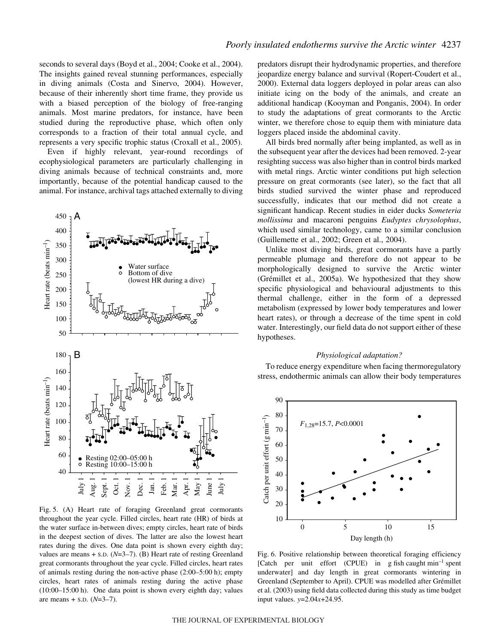seconds to several days (Boyd et al., 2004; Cooke et al., 2004). The insights gained reveal stunning performances, especially in diving animals (Costa and Sinervo, 2004). However, because of their inherently short time frame, they provide us with a biased perception of the biology of free-ranging animals. Most marine predators, for instance, have been studied during the reproductive phase, which often only corresponds to a fraction of their total annual cycle, and represents a very specific trophic status (Croxall et al., 2005).

Even if highly relevant, year-round recordings of ecophysiological parameters are particularly challenging in diving animals because of technical constraints and, more importantly, because of the potential handicap caused to the animal. For instance, archival tags attached externally to diving



Fig. 5. (A) Heart rate of foraging Greenland great cormorants throughout the year cycle. Filled circles, heart rate (HR) of birds at the water surface in-between dives; empty circles, heart rate of birds in the deepest section of dives. The latter are also the lowest heart rates during the dives. One data point is shown every eighth day; values are means  $+$  s.p. ( $N=3-7$ ). (B) Heart rate of resting Greenland great cormorants throughout the year cycle. Filled circles, heart rates of animals resting during the non-active phase  $(2:00-5:00h)$ ; empty circles, heart rates of animals resting during the active phase (10:00–15:00 h). One data point is shown every eighth day; values are means + S.D. (*N*=3–7).

predators disrupt their hydrodynamic properties, and therefore jeopardize energy balance and survival (Ropert-Coudert et al., 2000). External data loggers deployed in polar areas can also initiate icing on the body of the animals, and create an additional handicap (Kooyman and Ponganis, 2004). In order to study the adaptations of great cormorants to the Arctic winter, we therefore chose to equip them with miniature data loggers placed inside the abdominal cavity.

All birds bred normally after being implanted, as well as in the subsequent year after the devices had been removed. 2-year resighting success was also higher than in control birds marked with metal rings. Arctic winter conditions put high selection pressure on great cormorants (see later), so the fact that all birds studied survived the winter phase and reproduced successfully, indicates that our method did not create a significant handicap. Recent studies in eider ducks *Someteria mollissima* and macaroni penguins *Eudyptes chrysolophus*, which used similar technology, came to a similar conclusion (Guillemette et al., 2002; Green et al., 2004).

Unlike most diving birds, great cormorants have a partly permeable plumage and therefore do not appear to be morphologically designed to survive the Arctic winter (Grémillet et al., 2005a). We hypothesized that they show specific physiological and behavioural adjustments to this thermal challenge, either in the form of a depressed metabolism (expressed by lower body temperatures and lower heart rates), or through a decrease of the time spent in cold water. Interestingly, our field data do not support either of these hypotheses.

#### *Physiological adaptation?*

To reduce energy expenditure when facing thermoregulatory stress, endothermic animals can allow their body temperatures



Fig. 6. Positive relationship between theoretical foraging efficiency [Catch per unit effort (CPUE) in g fish caught  $min^{-1}$  spent underwater] and day length in great cormorants wintering in Greenland (September to April). CPUE was modelled after Grémillet et al. (2003) using field data collected during this study as time budget input values. *y*=2.04*x*+24.95.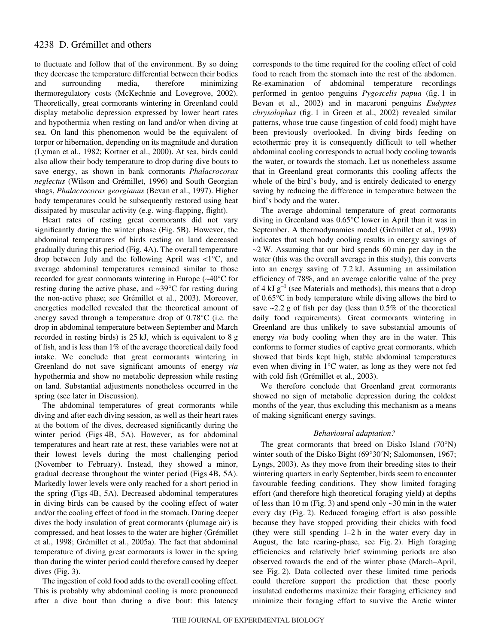to fluctuate and follow that of the environment. By so doing they decrease the temperature differential between their bodies and surrounding media, therefore minimizing thermoregulatory costs (McKechnie and Lovegrove, 2002). Theoretically, great cormorants wintering in Greenland could display metabolic depression expressed by lower heart rates and hypothermia when resting on land and/or when diving at sea. On land this phenomenon would be the equivalent of torpor or hibernation, depending on its magnitude and duration (Lyman et al., 1982; Kortner et al., 2000). At sea, birds could also allow their body temperature to drop during dive bouts to save energy, as shown in bank cormorants *Phalacrocorax neglectus* (Wilson and Grémillet, 1996) and South Georgian shags, *Phalacrocorax georgianus* (Bevan et al., 1997). Higher body temperatures could be subsequently restored using heat dissipated by muscular activity (e.g. wing-flapping, flight).

Heart rates of resting great cormorants did not vary significantly during the winter phase (Fig. 5B). However, the abdominal temperatures of birds resting on land decreased gradually during this period (Fig. 4A). The overall temperature drop between July and the following April was <1°C, and average abdominal temperatures remained similar to those recorded for great cormorants wintering in Europe (~40°C for resting during the active phase, and ~39°C for resting during the non-active phase; see Grémillet et al., 2003). Moreover, energetics modelled revealed that the theoretical amount of energy saved through a temperature drop of 0.78°C (i.e. the drop in abdominal temperature between September and March recorded in resting birds) is  $25 \text{ kJ}$ , which is equivalent to  $8 \text{ g}$ of fish, and is less than 1% of the average theoretical daily food intake. We conclude that great cormorants wintering in Greenland do not save significant amounts of energy *via* hypothermia and show no metabolic depression while resting on land. Substantial adjustments nonetheless occurred in the spring (see later in Discussion).

The abdominal temperatures of great cormorants while diving and after each diving session, as well as their heart rates at the bottom of the dives, decreased significantly during the winter period (Figs 4B, 5A). However, as for abdominal temperatures and heart rate at rest, these variables were not at their lowest levels during the most challenging period (November to February). Instead, they showed a minor, gradual decrease throughout the winter period (Figs 4B, 5A). Markedly lower levels were only reached for a short period in the spring (Figs 4B, 5A). Decreased abdominal temperatures in diving birds can be caused by the cooling effect of water and/or the cooling effect of food in the stomach. During deeper dives the body insulation of great cormorants (plumage air) is compressed, and heat losses to the water are higher (Grémillet et al., 1998; Grémillet et al., 2005a). The fact that abdominal temperature of diving great cormorants is lower in the spring than during the winter period could therefore caused by deeper dives  $(Fig. 3)$ .

The ingestion of cold food adds to the overall cooling effect. This is probably why abdominal cooling is more pronounced after a dive bout than during a dive bout: this latency corresponds to the time required for the cooling effect of cold food to reach from the stomach into the rest of the abdomen. Re-examination of abdominal temperature recordings performed in gentoo penguins *Pygoscelis papua* (fig. 1 in Bevan et al., 2002) and in macaroni penguins *Eudyptes chrysolophus* (fig. 1 in Green et al., 2002) revealed similar patterns, whose true cause (ingestion of cold food) might have been previously overlooked. In diving birds feeding on ectothermic prey it is consequently difficult to tell whether abdominal cooling corresponds to actual body cooling towards the water, or towards the stomach. Let us nonetheless assume that in Greenland great cormorants this cooling affects the whole of the bird's body, and is entirely dedicated to energy saving by reducing the difference in temperature between the bird's body and the water.

The average abdominal temperature of great cormorants diving in Greenland was 0.65°C lower in April than it was in September. A thermodynamics model (Grémillet et al., 1998) indicates that such body cooling results in energy savings of  $\sim$  2 W. Assuming that our bird spends 60 min per day in the water (this was the overall average in this study), this converts into an energy saving of  $7.2 \text{ kJ}$ . Assuming an assimilation efficiency of 78%, and an average calorific value of the prey of 4 kJ  $g^{-1}$  (see Materials and methods), this means that a drop of 0.65°C in body temperature while diving allows the bird to save  $\approx$  2.2 g of fish per day (less than 0.5% of the theoretical daily food requirements). Great cormorants wintering in Greenland are thus unlikely to save substantial amounts of energy *via* body cooling when they are in the water. This conforms to former studies of captive great cormorants, which showed that birds kept high, stable abdominal temperatures even when diving in 1°C water, as long as they were not fed with cold fish (Grémillet et al., 2003).

We therefore conclude that Greenland great cormorants showed no sign of metabolic depression during the coldest months of the year, thus excluding this mechanism as a means of making significant energy savings.

## *Behavioural adaptation?*

The great cormorants that breed on Disko Island (70°N) winter south of the Disko Bight (69°30'N; Salomonsen, 1967; Lyngs, 2003). As they move from their breeding sites to their wintering quarters in early September, birds seem to encounter favourable feeding conditions. They show limited foraging effort (and therefore high theoretical foraging yield) at depths of less than 10 m (Fig. 3) and spend only  $\sim$ 30 min in the water every day (Fig. 2). Reduced foraging effort is also possible because they have stopped providing their chicks with food (they were still spending  $1-2$  h in the water every day in August, the late rearing-phase, see Fig.  $2$ ). High foraging efficiencies and relatively brief swimming periods are also observed towards the end of the winter phase (March–April, see Fig. 2). Data collected over these limited time periods could therefore support the prediction that these poorly insulated endotherms maximize their foraging efficiency and minimize their foraging effort to survive the Arctic winter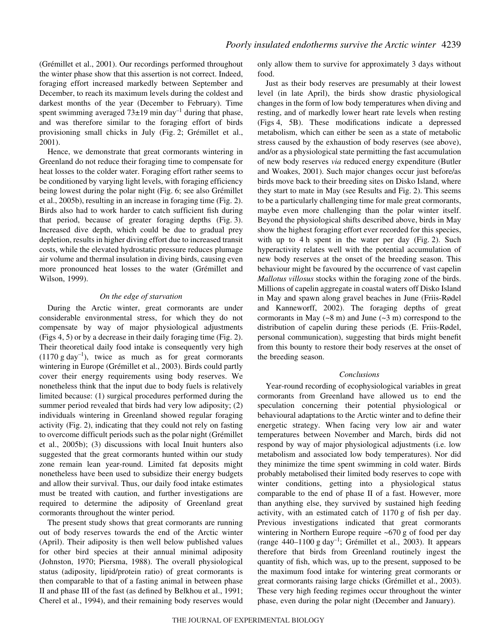(Grémillet et al., 2001). Our recordings performed throughout the winter phase show that this assertion is not correct. Indeed, foraging effort increased markedly between September and December, to reach its maximum levels during the coldest and darkest months of the year (December to February). Time spent swimming averaged  $73\pm19$  min day<sup>-1</sup> during that phase, and was therefore similar to the foraging effort of birds provisioning small chicks in July (Fig. 2; Grémillet et al., 2001).

Hence, we demonstrate that great cormorants wintering in Greenland do not reduce their foraging time to compensate for heat losses to the colder water. Foraging effort rather seems to be conditioned by varying light levels, with foraging efficiency being lowest during the polar night (Fig. 6; see also Grémillet et al., 2005b), resulting in an increase in foraging time (Fig. 2). Birds also had to work harder to catch sufficient fish during that period, because of greater foraging depths (Fig. 3). Increased dive depth, which could be due to gradual prey depletion, results in higher diving effort due to increased transit costs, while the elevated hydrostatic pressure reduces plumage air volume and thermal insulation in diving birds, causing even more pronounced heat losses to the water (Grémillet and Wilson, 1999).

## *On the edge of starvation*

During the Arctic winter, great cormorants are under considerable environmental stress, for which they do not compensate by way of major physiological adjustments (Figs 4, 5) or by a decrease in their daily foraging time (Fig. 2). Their theoretical daily food intake is consequently very high  $(1170 \text{ g day}^{-1})$ , twice as much as for great cormorants wintering in Europe (Grémillet et al., 2003). Birds could partly cover their energy requirements using body reserves. We nonetheless think that the input due to body fuels is relatively limited because: (1) surgical procedures performed during the summer period revealed that birds had very low adiposity; (2) individuals wintering in Greenland showed regular foraging activity (Fig. 2), indicating that they could not rely on fasting to overcome difficult periods such as the polar night (Grémillet et al., 2005b); (3) discussions with local Inuit hunters also suggested that the great cormorants hunted within our study zone remain lean year-round. Limited fat deposits might nonetheless have been used to subsidize their energy budgets and allow their survival. Thus, our daily food intake estimates must be treated with caution, and further investigations are required to determine the adiposity of Greenland great cormorants throughout the winter period.

The present study shows that great cormorants are running out of body reserves towards the end of the Arctic winter (April). Their adiposity is then well below published values for other bird species at their annual minimal adiposity (Johnston, 1970; Piersma, 1988). The overall physiological status (adiposity, lipid/protein ratio) of great cormorants is then comparable to that of a fasting animal in between phase II and phase III of the fast (as defined by Belkhou et al., 1991; Cherel et al., 1994), and their remaining body reserves would

only allow them to survive for approximately 3 days without food.

Just as their body reserves are presumably at their lowest level (in late April), the birds show drastic physiological changes in the form of low body temperatures when diving and resting, and of markedly lower heart rate levels when resting (Figs·4, 5B). These modifications indicate a depressed metabolism, which can either be seen as a state of metabolic stress caused by the exhaustion of body reserves (see above), and/or as a physiological state permitting the fast accumulation of new body reserves *via* reduced energy expenditure (Butler and Woakes, 2001). Such major changes occur just before/as birds move back to their breeding sites on Disko Island, where they start to mate in May (see Results and Fig. 2). This seems to be a particularly challenging time for male great cormorants, maybe even more challenging than the polar winter itself. Beyond the physiological shifts described above, birds in May show the highest foraging effort ever recorded for this species, with up to  $4 h$  spent in the water per day (Fig. 2). Such hyperactivity relates well with the potential accumulation of new body reserves at the onset of the breeding season. This behaviour might be favoured by the occurrence of vast capelin *Mallotus villosus* stocks within the foraging zone of the birds. Millions of capelin aggregate in coastal waters off Disko Island in May and spawn along gravel beaches in June (Friis-Rødel and Kanneworff, 2002). The foraging depths of great cormorants in May  $({\sim}8 \text{ m})$  and June  $({\sim}3 \text{ m})$  correspond to the distribution of capelin during these periods (E. Friis-Rødel, personal communication), suggesting that birds might benefit from this bounty to restore their body reserves at the onset of the breeding season.

## *Conclusions*

Year-round recording of ecophysiological variables in great cormorants from Greenland have allowed us to end the speculation concerning their potential physiological or behavioural adaptations to the Arctic winter and to define their energetic strategy. When facing very low air and water temperatures between November and March, birds did not respond by way of major physiological adjustments (i.e. low metabolism and associated low body temperatures). Nor did they minimize the time spent swimming in cold water. Birds probably metabolised their limited body reserves to cope with winter conditions, getting into a physiological status comparable to the end of phase II of a fast. However, more than anything else, they survived by sustained high feeding activity, with an estimated catch of  $1170 \text{ g}$  of fish per day. Previous investigations indicated that great cormorants wintering in Northern Europe require  $\sim 670$  g of food per day (range  $440-1100$  g day<sup>-1</sup>; Grémillet et al., 2003). It appears therefore that birds from Greenland routinely ingest the quantity of fish, which was, up to the present, supposed to be the maximum food intake for wintering great cormorants or great cormorants raising large chicks (Grémillet et al., 2003). These very high feeding regimes occur throughout the winter phase, even during the polar night (December and January).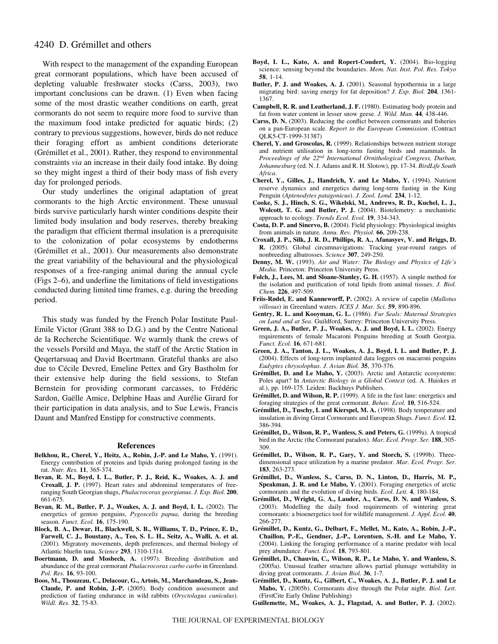With respect to the management of the expanding European great cormorant populations, which have been accused of depleting valuable freshwater stocks (Carss, 2003), two important conclusions can be drawn. (1) Even when facing some of the most drastic weather conditions on earth, great cormorants do not seem to require more food to survive than the maximum food intake predicted for aquatic birds; (2) contrary to previous suggestions, however, birds do not reduce their foraging effort as ambient conditions deteriorate (Grémillet et al., 2001). Rather, they respond to environmental constraints *via* an increase in their daily food intake. By doing so they might ingest a third of their body mass of fish every day for prolonged periods.

Our study underlines the original adaptation of great cormorants to the high Arctic environment. These unusual birds survive particularly harsh winter conditions despite their limited body insulation and body reserves, thereby breaking the paradigm that efficient thermal insulation is a prerequisite to the colonization of polar ecosystems by endotherms (Grémillet et al., 2001). Our measurements also demonstrate the great variability of the behavioural and the physiological responses of a free-ranging animal during the annual cycle (Figs 2–6), and underline the limitations of field investigations conducted during limited time frames, e.g. during the breeding period.

This study was funded by the French Polar Institute Paul-Emile Victor (Grant 388 to D.G.) and by the Centre National de la Recherche Scientifique. We warmly thank the crews of the vessels Porsild and Maya, the staff of the Arctic Station in Qeqertarsuaq and David Boertmann. Grateful thanks are also due to Cécile Devred, Emeline Pettex and Gry Bastholm for their extensive help during the field sessions, to Stefan Bernstein for providing cormorant carcasses, to Frédéric Sardon, Gaëlle Amice, Delphine Haas and Aurélie Girard for their participation in data analysis, and to Sue Lewis, Francis Daunt and Manfred Enstipp for constructive comments.

#### **References**

- **Belkhou, R., Cherel, Y., Heitz, A., Robin, J.-P. and Le Maho, Y.** (1991). Energy contribution of proteins and lipids during prolonged fasting in the rat. *Nutr. Res.* **11**, 365-374.
- **Bevan, R. M., Boyd, I. L., Butler, P. J., Reid, K., Woakes, A. J. and Croxall, J. P.** (1997). Heart rates and abdominal temperatures of freeranging South Georgian shags, *Phalacrocorax georgianus*. *J. Exp. Biol.* **200**, 661-675.
- **Bevan, R. M., Butler, P. J., Woakes, A. J. and Boyd, I. L.** (2002). The energetics of gentoo penguins, *Pygoscelis papua,* during the breeding season. *Funct. Ecol.* **16**, 175-190.
- **Block, B. A., Dewar, H., Blackwell, S. B., Williams, T. D., Prince, E. D., Farwell, C. J., Boustany, A., Teo, S. L. H., Seitz, A., Walli, A. et al.** (2001). Migratory movements, depth preferences, and thermal biology of Atlantic bluefin tuna. *Science* **293**, 1310-1314.
- **Boertmann, D. and Mosbech, A.** (1997). Breeding distribution and abundance of the great cormorant *Phalacrocorax carbo carbo* in Greenland. *Pol. Res.* **16**, 93-100.
- **Boos, M., Thouzeau, C., Delacour, G., Artois, M., Marchandeau, S., Jean-Claude, P. and Robin, J.-P.** (2005). Body condition assessment and prediction of fasting endurance in wild rabbits (*Oryctolagus cuniculus*). *Wildl. Res.* **32**, 75-83.
- **Boyd, I. L., Kato, A. and Ropert-Coudert, Y.** (2004). Bio-logging science: sensing beyond the boundaries. *Mem. Nat. Inst. Pol. Res. Tokyo* **58**, 1-14.
- **Butler, P. J. and Woakes, A. J.** (2001). Seasonal hypothermia in a large migrating bird: saving energy for fat deposition? *J. Exp. Biol.* **204**, 1361- 1367.
- **Campbell, R. R. and Leatherland, J. F.** (1980). Estimating body protein and fat from water content in lesser snow geese. *J. Wild. Man.* **44**, 438-446.
- **Carss, D. N.** (2003). Reducing the conflict between cormorants and fisheries on a pan-European scale. *Report to the European Commission*. (Contract QLK5-CT-1999-31387)
- **Cherel, Y. and Groscolas, R.** (1999). Relationships between nutrient storage and nutrient utilisation in long-term fasting birds and mammals. In *Proceedings of the 22nd International Ornithological Congress, Durban, Johannesburg* (ed. N. J. Adams and R. H. Slotow), pp. 17-34. *BirdLife South Africa*.
- **Cherel, Y., Gilles, J., Handrich, Y. and Le Maho, Y.** (1994). Nutrient reserve dynamics and energetics during long-term fasting in the King Penguin (*Aptenodytes patagonicus*). *J. Zool. Lond.* **234**, 1-12.
- **Cooke, S. J., Hinch, S. G., Wikelski, M., Andrews, R. D., Kuchel, L. J., Wolcott, T. G. and Butler, P. J.** (2004). Biotelemetry: a mechanistic approach to ecology. *Trends Ecol. Evol.* **19**, 334-343.
- **Costa, D. P. and Sinervo, B.** (2004). Field physiology: Physiological insights from animals in nature*. Annu. Rev. Physiol.* **66**, 209-238.
- **Croxall, J. P., Silk, J. R. D., Phillips, R. A., Afanasyev, V. and Briggs, D. R.** (2005). Global circumnavigations: Tracking year-round ranges of nonbreeding albatrosses. *Science* **307**, 249-250.
- **Denny, M. W.** (1993). *Air and Water: The Biology and Physics of Life's Media*. Princeton: Princeton University Press.
- **Folch, J., Lees, M. and Sloane-Stanley, G. H.** (1957). A simple method for the isolation and purification of total lipids from animal tissues. *J. Biol. Chem.* **226**, 497-509.
- **Friis-Rødel, E. and Kanneworff, P.** (2002). A review of capelin (*Mallotus villosus*) in Greenland waters. *ICES J. Mar. Sci.* **59**, 890-896.
- **Gentry, R. L. and Kooyman, G. L.** (1986). *Fur Seals: Maternal Strategies on Land and at Sea*. Guildford, Surrey: Princeton University Press.
- **Green, J. A., Butler, P. J., Woakes, A. J. and Boyd, I. L.** (2002). Energy requirements of female Macaroni Penguins breeding at South Georgia. *Funct. Ecol.* **16**, 671-681.
- **Green, J. A., Tanton, J. L., Woakes, A. J., Boyd, I. L. and Butler, P. J.** (2004). Effects of long-term implanted data loggers on macaroni penguins *Eudyptes chrysolophus*. *J. Avian Biol.* **35**, 370-376.
- **Grémillet, D. and Le Maho, Y.** (2003). Arctic and Antarctic ecosystems: Poles apart? In *Antarctic Biology in a Global Context* (ed. A. Huiskes et al.), pp. 169-175. Leiden: Backhuys Publishers.
- **Grémillet, D. and Wilson, R. P.** (1999). A life in the fast lane: energetics and foraging strategies of the great cormorant. *Behav. Ecol.* **10**, 516-524.
- **Grémillet, D., Tuschy, I. and Kierspel, M. A.** (1998). Body temperature and insulation in diving Great Cormorants and European Shags. *Funct. Ecol.* **12**, 386-394.
- **Grémillet, D., Wilson, R. P., Wanless, S. and Peters, G.** (1999a). A tropical bird in the Arctic (the Cormorant paradox). *Mar. Ecol. Progr. Ser.* **188**, 305- 309.
- **Grémillet, D., Wilson, R. P., Gary, Y. and Storch, S.** (1999b). Threedimensional space utilization by a marine predator. *Mar. Ecol. Progr. Ser.* **183**, 263-273.
- **Grémillet, D., Wanless, S., Carss, D. N., Linton, D., Harris, M. P., Speakman, J. R. and Le Maho, Y.** (2001). Foraging energetics of arctic cormorants and the evolution of diving birds. *Ecol. Lett.* **4**, 180-184.
- **Grémillet, D., Wright, G. A., Lauder, A., Carss, D. N. and Wanless, S.** (2003). Modelling the daily food requirements of wintering great cormorants: a bioenergetics tool for wildlife management. *J. Appl. Ecol.* **40**, 266-277.
- **Grémillet, D., Kuntz, G., Delbart, F., Mellet, M., Kato, A., Robin, J.-P., Chaillon, P.-E., Gendner, J.-P., Lorentsen, S.-H. and Le Maho, Y.** (2004). Linking the foraging performance of a marine predator with local prey abundance. *Funct. Ecol.* **18**, 793-801.
- **Grémillet, D., Chauvin, C., Wilson, R. P., Le Maho, Y. and Wanless, S.** (2005a). Unusual feather structure allows partial plumage wettability in diving great cormorants. *J. Avian Biol.* **36**, 1-7.
- **Grémillet, D., Kuntz, G., Gilbert, C., Woakes, A. J., Butler, P. J. and Le Maho, Y.** (2005b). Cormorants dive through the Polar night. *Biol. Lett*. (FirstCite Early Online Publishing)
- **Guillemette, M., Woakes, A. J., Flagstad, A. and Butler, P. J.** (2002).